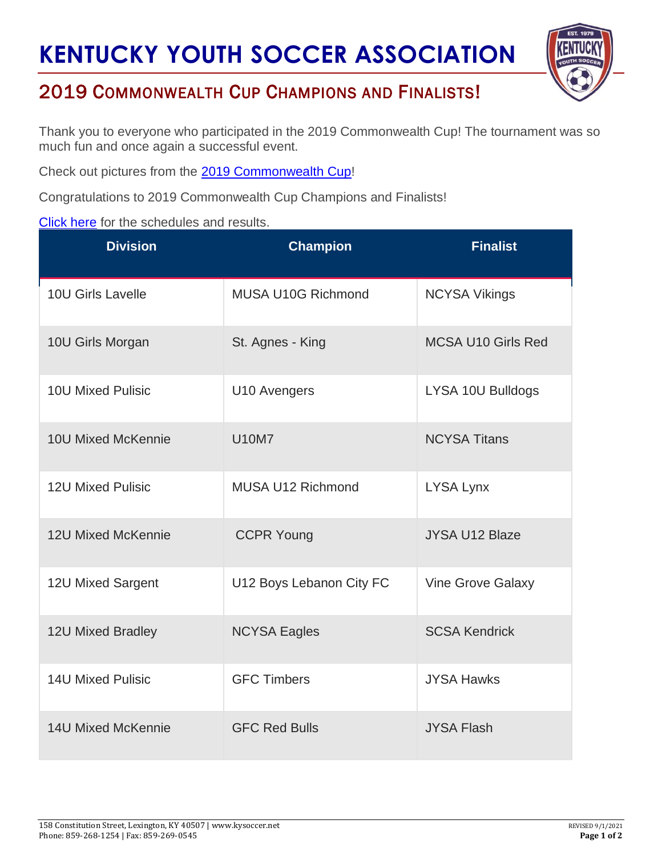## **KENTUCKY YOUTH SOCCER ASSOCIATION**



## 2019 COMMONWEALTH CUP CHAMPIONS AND FINALISTS!

Thank you to everyone who participated in the 2019 Commonwealth Cup! The tournament was so much fun and once again a successful event.

Check out pictures from the [2019 Commonwealth Cup!](https://www.kysoccer.net/commonwealth-cup-images/)

Congratulations to 2019 Commonwealth Cup Champions and Finalists!

## [Click](https://kys.affinitysoccer.com/tour/public/info/accepted_list.asp?sessionguid=&tournamentguid=79DD7A61-5BD5-4BD0-9010-6F956FBCA4D9&show=girls) here for the schedules and results.

| <b>Division</b>           | <b>Champion</b>           | <b>Finalist</b>           |
|---------------------------|---------------------------|---------------------------|
| 10U Girls Lavelle         | <b>MUSA U10G Richmond</b> | <b>NCYSA Vikings</b>      |
| 10U Girls Morgan          | St. Agnes - King          | <b>MCSA U10 Girls Red</b> |
| <b>10U Mixed Pulisic</b>  | U10 Avengers              | LYSA 10U Bulldogs         |
| <b>10U Mixed McKennie</b> | <b>U10M7</b>              | <b>NCYSA Titans</b>       |
| <b>12U Mixed Pulisic</b>  | <b>MUSA U12 Richmond</b>  | <b>LYSA Lynx</b>          |
| <b>12U Mixed McKennie</b> | <b>CCPR Young</b>         | <b>JYSA U12 Blaze</b>     |
| 12U Mixed Sargent         | U12 Boys Lebanon City FC  | <b>Vine Grove Galaxy</b>  |
| 12U Mixed Bradley         | <b>NCYSA Eagles</b>       | <b>SCSA Kendrick</b>      |
| <b>14U Mixed Pulisic</b>  | <b>GFC Timbers</b>        | <b>JYSA Hawks</b>         |
| <b>14U Mixed McKennie</b> | <b>GFC Red Bulls</b>      | <b>JYSA Flash</b>         |